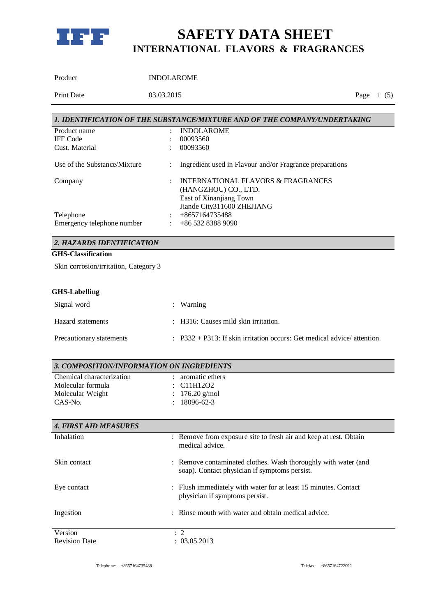

| Product                                   | <b>INDOLAROME</b>                                                                               |             |
|-------------------------------------------|-------------------------------------------------------------------------------------------------|-------------|
| <b>Print Date</b>                         | 03.03.2015                                                                                      | Page $1(5)$ |
|                                           |                                                                                                 |             |
|                                           | 1. IDENTIFICATION OF THE SUBSTANCE/MIXTURE AND OF THE COMPANY/UNDERTAKING                       |             |
| Product name                              | <b>INDOLAROME</b>                                                                               |             |
| <b>IFF</b> Code                           | 00093560                                                                                        |             |
| Cust. Material                            | 00093560                                                                                        |             |
| Use of the Substance/Mixture              | Ingredient used in Flavour and/or Fragrance preparations                                        |             |
| Company                                   | <b>INTERNATIONAL FLAVORS &amp; FRAGRANCES</b>                                                   |             |
|                                           | (HANGZHOU) CO., LTD.                                                                            |             |
|                                           | East of Xinanjiang Town                                                                         |             |
|                                           | Jiande City311600 ZHEJIANG                                                                      |             |
| Telephone                                 | +8657164735488                                                                                  |             |
| Emergency telephone number                | +86 532 8388 9090                                                                               |             |
| 2. HAZARDS IDENTIFICATION                 |                                                                                                 |             |
| <b>GHS-Classification</b>                 |                                                                                                 |             |
| Skin corrosion/irritation, Category 3     |                                                                                                 |             |
| <b>GHS-Labelling</b>                      |                                                                                                 |             |
| Signal word                               | Warning                                                                                         |             |
| Hazard statements                         | H316: Causes mild skin irritation.                                                              |             |
| Precautionary statements                  | $: P332 + P313$ : If skin irritation occurs: Get medical advice/attention.                      |             |
| 3. COMPOSITION/INFORMATION ON INGREDIENTS |                                                                                                 |             |
| Chemical characterization                 | aromatic ethers                                                                                 |             |
| Molecular formula                         | C11H12O2                                                                                        |             |
| Molecular Weight                          | $176.20$ g/mol                                                                                  |             |
| CAS-No.                                   | 18096-62-3                                                                                      |             |
|                                           |                                                                                                 |             |
| <b>4. FIRST AID MEASURES</b>              |                                                                                                 |             |
| Inhalation                                | : Remove from exposure site to fresh air and keep at rest. Obtain<br>medical advice.            |             |
| Skin contact                              | Remove contaminated clothes. Wash thoroughly with water (and                                    |             |
|                                           | soap). Contact physician if symptoms persist.                                                   |             |
| Eye contact                               | Flush immediately with water for at least 15 minutes. Contact<br>physician if symptoms persist. |             |
| Ingestion                                 | Rinse mouth with water and obtain medical advice.                                               |             |
|                                           |                                                                                                 |             |
| Version                                   | : 2                                                                                             |             |
| <b>Revision Date</b>                      | : 03.05.2013                                                                                    |             |

Revision Date

Telephone: +8657164735488 Telefax: +8657164722092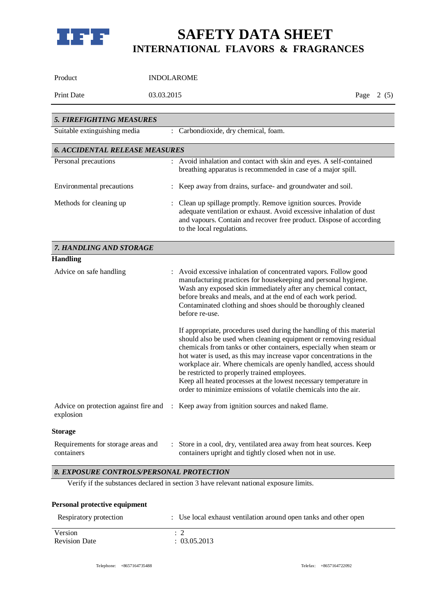

| Product                                                         | <b>INDOLAROME</b>                                                                                                                                                                                                                                                                                                                                                                                                                                                                                                                                                                                                                                                                                                                                                                                                                                                                                         |             |
|-----------------------------------------------------------------|-----------------------------------------------------------------------------------------------------------------------------------------------------------------------------------------------------------------------------------------------------------------------------------------------------------------------------------------------------------------------------------------------------------------------------------------------------------------------------------------------------------------------------------------------------------------------------------------------------------------------------------------------------------------------------------------------------------------------------------------------------------------------------------------------------------------------------------------------------------------------------------------------------------|-------------|
| Print Date                                                      | 03.03.2015                                                                                                                                                                                                                                                                                                                                                                                                                                                                                                                                                                                                                                                                                                                                                                                                                                                                                                | Page $2(5)$ |
|                                                                 |                                                                                                                                                                                                                                                                                                                                                                                                                                                                                                                                                                                                                                                                                                                                                                                                                                                                                                           |             |
| <b>5. FIREFIGHTING MEASURES</b><br>Suitable extinguishing media | : Carbondioxide, dry chemical, foam.                                                                                                                                                                                                                                                                                                                                                                                                                                                                                                                                                                                                                                                                                                                                                                                                                                                                      |             |
|                                                                 |                                                                                                                                                                                                                                                                                                                                                                                                                                                                                                                                                                                                                                                                                                                                                                                                                                                                                                           |             |
| <b>6. ACCIDENTAL RELEASE MEASURES</b>                           |                                                                                                                                                                                                                                                                                                                                                                                                                                                                                                                                                                                                                                                                                                                                                                                                                                                                                                           |             |
| Personal precautions                                            | : Avoid inhalation and contact with skin and eyes. A self-contained<br>breathing apparatus is recommended in case of a major spill.                                                                                                                                                                                                                                                                                                                                                                                                                                                                                                                                                                                                                                                                                                                                                                       |             |
| Environmental precautions                                       | Keep away from drains, surface- and groundwater and soil.                                                                                                                                                                                                                                                                                                                                                                                                                                                                                                                                                                                                                                                                                                                                                                                                                                                 |             |
| Methods for cleaning up                                         | : Clean up spillage promptly. Remove ignition sources. Provide<br>adequate ventilation or exhaust. Avoid excessive inhalation of dust<br>and vapours. Contain and recover free product. Dispose of according<br>to the local regulations.                                                                                                                                                                                                                                                                                                                                                                                                                                                                                                                                                                                                                                                                 |             |
| 7. HANDLING AND STORAGE                                         |                                                                                                                                                                                                                                                                                                                                                                                                                                                                                                                                                                                                                                                                                                                                                                                                                                                                                                           |             |
| <b>Handling</b>                                                 |                                                                                                                                                                                                                                                                                                                                                                                                                                                                                                                                                                                                                                                                                                                                                                                                                                                                                                           |             |
| Advice on safe handling                                         | : Avoid excessive inhalation of concentrated vapors. Follow good<br>manufacturing practices for housekeeping and personal hygiene.<br>Wash any exposed skin immediately after any chemical contact,<br>before breaks and meals, and at the end of each work period.<br>Contaminated clothing and shoes should be thoroughly cleaned<br>before re-use.<br>If appropriate, procedures used during the handling of this material<br>should also be used when cleaning equipment or removing residual<br>chemicals from tanks or other containers, especially when steam or<br>hot water is used, as this may increase vapor concentrations in the<br>workplace air. Where chemicals are openly handled, access should<br>be restricted to properly trained employees.<br>Keep all heated processes at the lowest necessary temperature in<br>order to minimize emissions of volatile chemicals into the air. |             |
| explosion                                                       | Advice on protection against fire and : Keep away from ignition sources and naked flame.                                                                                                                                                                                                                                                                                                                                                                                                                                                                                                                                                                                                                                                                                                                                                                                                                  |             |
| Storage                                                         |                                                                                                                                                                                                                                                                                                                                                                                                                                                                                                                                                                                                                                                                                                                                                                                                                                                                                                           |             |
| Requirements for storage areas and<br>containers                | : Store in a cool, dry, ventilated area away from heat sources. Keep<br>containers upright and tightly closed when not in use.                                                                                                                                                                                                                                                                                                                                                                                                                                                                                                                                                                                                                                                                                                                                                                            |             |
| 8. EXPOSURE CONTROLS/PERSONAL PROTECTION                        |                                                                                                                                                                                                                                                                                                                                                                                                                                                                                                                                                                                                                                                                                                                                                                                                                                                                                                           |             |
|                                                                 | Verify if the substances declared in section 3 have relevant national exposure limits.                                                                                                                                                                                                                                                                                                                                                                                                                                                                                                                                                                                                                                                                                                                                                                                                                    |             |
| Personal protective equipment                                   |                                                                                                                                                                                                                                                                                                                                                                                                                                                                                                                                                                                                                                                                                                                                                                                                                                                                                                           |             |
| Respiratory protection                                          | : Use local exhaust ventilation around open tanks and other open                                                                                                                                                                                                                                                                                                                                                                                                                                                                                                                                                                                                                                                                                                                                                                                                                                          |             |
| Version<br><b>Revision Date</b>                                 | $\colon 2$<br>: 03.05.2013                                                                                                                                                                                                                                                                                                                                                                                                                                                                                                                                                                                                                                                                                                                                                                                                                                                                                |             |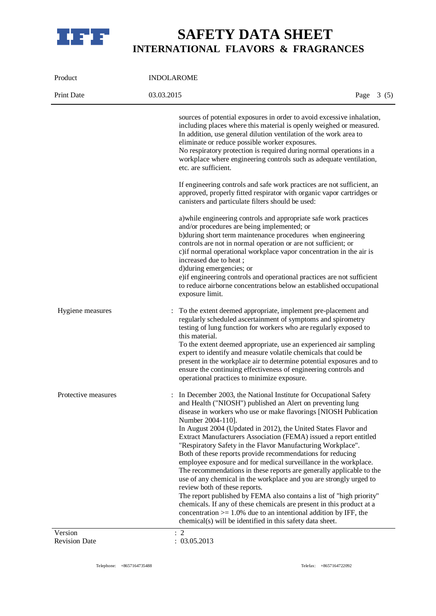

| Product                         | <b>INDOLAROME</b>                                                                                                                                                                                                                                                                                                                                                                                                                                                                                                                                                                                                                                                                                                                                                                                                                                                                                                                                                                                                                    |  |  |
|---------------------------------|--------------------------------------------------------------------------------------------------------------------------------------------------------------------------------------------------------------------------------------------------------------------------------------------------------------------------------------------------------------------------------------------------------------------------------------------------------------------------------------------------------------------------------------------------------------------------------------------------------------------------------------------------------------------------------------------------------------------------------------------------------------------------------------------------------------------------------------------------------------------------------------------------------------------------------------------------------------------------------------------------------------------------------------|--|--|
| Print Date                      | 03.03.2015<br>Page $3(5)$                                                                                                                                                                                                                                                                                                                                                                                                                                                                                                                                                                                                                                                                                                                                                                                                                                                                                                                                                                                                            |  |  |
|                                 | sources of potential exposures in order to avoid excessive inhalation,<br>including places where this material is openly weighed or measured.<br>In addition, use general dilution ventilation of the work area to<br>eliminate or reduce possible worker exposures.<br>No respiratory protection is required during normal operations in a<br>workplace where engineering controls such as adequate ventilation,<br>etc. are sufficient.                                                                                                                                                                                                                                                                                                                                                                                                                                                                                                                                                                                            |  |  |
|                                 | If engineering controls and safe work practices are not sufficient, an<br>approved, properly fitted respirator with organic vapor cartridges or<br>canisters and particulate filters should be used:                                                                                                                                                                                                                                                                                                                                                                                                                                                                                                                                                                                                                                                                                                                                                                                                                                 |  |  |
|                                 | a) while engineering controls and appropriate safe work practices<br>and/or procedures are being implemented; or<br>b)during short term maintenance procedures when engineering<br>controls are not in normal operation or are not sufficient; or<br>c) if normal operational workplace vapor concentration in the air is<br>increased due to heat;<br>d) during emergencies; or<br>e) if engineering controls and operational practices are not sufficient<br>to reduce airborne concentrations below an established occupational<br>exposure limit.                                                                                                                                                                                                                                                                                                                                                                                                                                                                                |  |  |
| Hygiene measures                | To the extent deemed appropriate, implement pre-placement and<br>regularly scheduled ascertainment of symptoms and spirometry<br>testing of lung function for workers who are regularly exposed to<br>this material.<br>To the extent deemed appropriate, use an experienced air sampling<br>expert to identify and measure volatile chemicals that could be<br>present in the workplace air to determine potential exposures and to<br>ensure the continuing effectiveness of engineering controls and<br>operational practices to minimize exposure.                                                                                                                                                                                                                                                                                                                                                                                                                                                                               |  |  |
| Protective measures             | In December 2003, the National Institute for Occupational Safety<br>and Health ("NIOSH") published an Alert on preventing lung<br>disease in workers who use or make flavorings [NIOSH Publication<br>Number 2004-110].<br>In August 2004 (Updated in 2012), the United States Flavor and<br>Extract Manufacturers Association (FEMA) issued a report entitled<br>"Respiratory Safety in the Flavor Manufacturing Workplace".<br>Both of these reports provide recommendations for reducing<br>employee exposure and for medical surveillance in the workplace.<br>The recommendations in these reports are generally applicable to the<br>use of any chemical in the workplace and you are strongly urged to<br>review both of these reports.<br>The report published by FEMA also contains a list of "high priority"<br>chemicals. If any of these chemicals are present in this product at a<br>concentration $> = 1.0\%$ due to an intentional addition by IFF, the<br>chemical(s) will be identified in this safety data sheet. |  |  |
| Version<br><b>Revision Date</b> | $\therefore$ 2<br>: 03.05.2013                                                                                                                                                                                                                                                                                                                                                                                                                                                                                                                                                                                                                                                                                                                                                                                                                                                                                                                                                                                                       |  |  |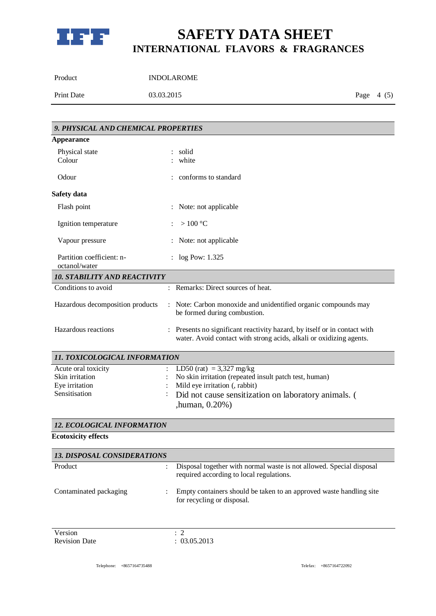

| Product    | <b>INDOLAROME</b> |             |  |
|------------|-------------------|-------------|--|
| Print Date | 03.03.2015        | Page $4(5)$ |  |

| 9. PHYSICAL AND CHEMICAL PROPERTIES                                       |                                                                                                                                                                                                  |
|---------------------------------------------------------------------------|--------------------------------------------------------------------------------------------------------------------------------------------------------------------------------------------------|
| <b>Appearance</b>                                                         |                                                                                                                                                                                                  |
| Physical state<br>Colour                                                  | solid<br>white                                                                                                                                                                                   |
| Odour                                                                     | conforms to standard                                                                                                                                                                             |
| Safety data                                                               |                                                                                                                                                                                                  |
| Flash point                                                               | Note: not applicable                                                                                                                                                                             |
| Ignition temperature                                                      | $>100\text{ °C}$                                                                                                                                                                                 |
| Vapour pressure                                                           | Note: not applicable                                                                                                                                                                             |
| Partition coefficient: n-<br>octanol/water                                | $:$ log Pow: 1.325                                                                                                                                                                               |
| <b>10. STABILITY AND REACTIVITY</b>                                       |                                                                                                                                                                                                  |
| Conditions to avoid                                                       | : Remarks: Direct sources of heat.                                                                                                                                                               |
| Hazardous decomposition products                                          | Note: Carbon monoxide and unidentified organic compounds may<br>be formed during combustion.                                                                                                     |
| Hazardous reactions                                                       | Presents no significant reactivity hazard, by itself or in contact with<br>water. Avoid contact with strong acids, alkali or oxidizing agents.                                                   |
| 11. TOXICOLOGICAL INFORMATION                                             |                                                                                                                                                                                                  |
| Acute oral toxicity<br>Skin irritation<br>Eye irritation<br>Sensitisation | LD50 (rat) = $3,327$ mg/kg<br>No skin irritation (repeated insult patch test, human)<br>Mild eye irritation (, rabbit)<br>Did not cause sensitization on laboratory animals. (<br>,human, 0.20%) |
| 12. ECOLOGICAL INFORMATION                                                |                                                                                                                                                                                                  |
| <b>Ecotoxicity effects</b>                                                |                                                                                                                                                                                                  |

| <b>13. DISPOSAL CONSIDERATIONS</b> |                                                                                                                  |
|------------------------------------|------------------------------------------------------------------------------------------------------------------|
| Product                            | Disposal together with normal waste is not allowed. Special disposal<br>required according to local regulations. |
| Contaminated packaging             | Empty containers should be taken to an approved waste handling site<br>for recycling or disposal.                |

Version : 2<br>Revision Date : 03.05.2013 Revision Date